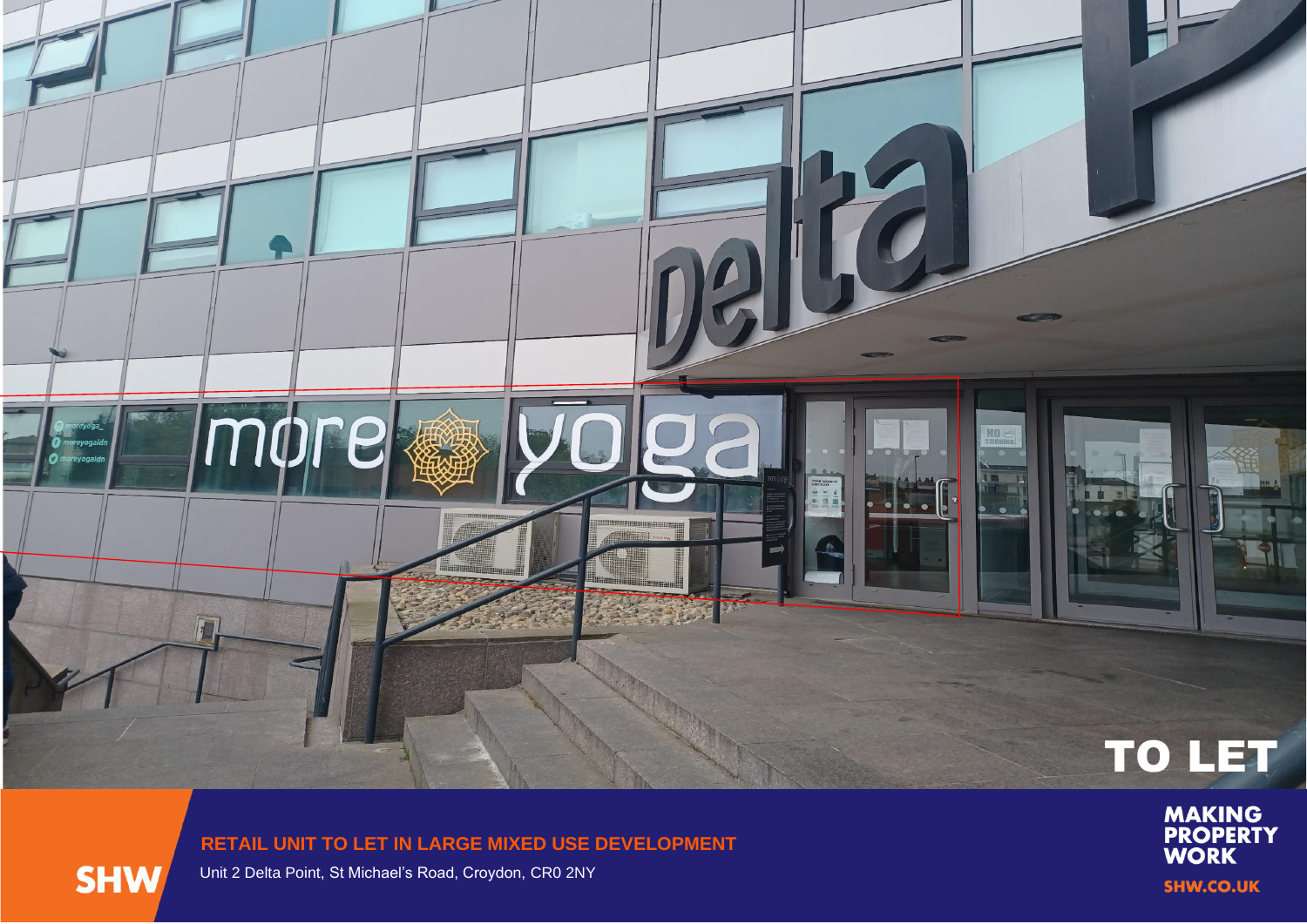

## **RETAIL UNIT TO LET IN LARGE MIXED USE DEVELOPMENT**



Unit 2 Delta Point, St Michael's Road, Croydon, CR0 2NY

**MAKING<br>PROPERTY<br>WORK SHW.CO.UK**